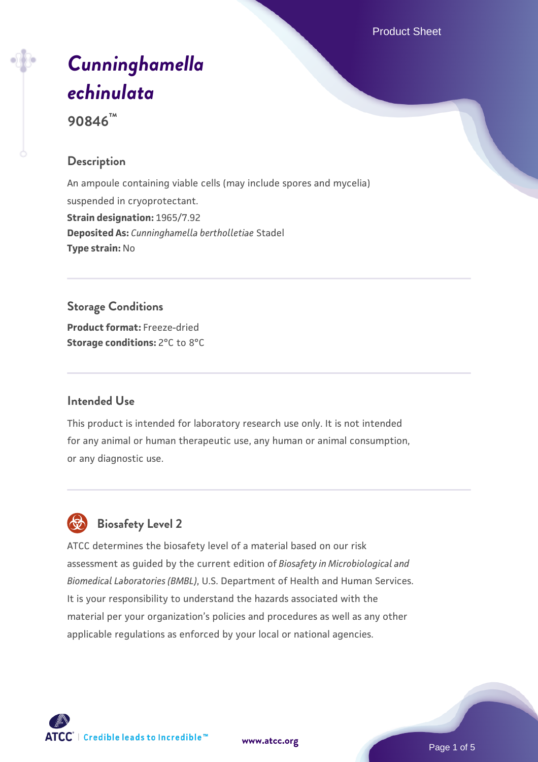Product Sheet

# *[Cunninghamella](https://www.atcc.org/products/90846) [echinulata](https://www.atcc.org/products/90846)*

**90846™**

# **Description**

An ampoule containing viable cells (may include spores and mycelia) suspended in cryoprotectant. **Strain designation:** 1965/7.92 **Deposited As:** *Cunninghamella bertholletiae* Stadel **Type strain:** No

# **Storage Conditions**

**Product format:** Freeze-dried **Storage conditions:** 2°C to 8°C

# **Intended Use**

This product is intended for laboratory research use only. It is not intended for any animal or human therapeutic use, any human or animal consumption, or any diagnostic use.

# **Biosafety Level 2**

ATCC determines the biosafety level of a material based on our risk assessment as guided by the current edition of *Biosafety in Microbiological and Biomedical Laboratories (BMBL)*, U.S. Department of Health and Human Services. It is your responsibility to understand the hazards associated with the material per your organization's policies and procedures as well as any other applicable regulations as enforced by your local or national agencies.

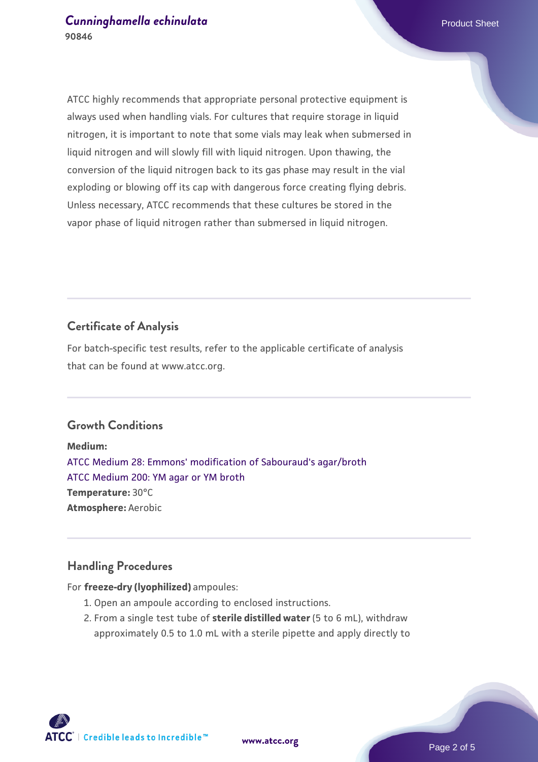ATCC highly recommends that appropriate personal protective equipment is always used when handling vials. For cultures that require storage in liquid nitrogen, it is important to note that some vials may leak when submersed in liquid nitrogen and will slowly fill with liquid nitrogen. Upon thawing, the conversion of the liquid nitrogen back to its gas phase may result in the vial exploding or blowing off its cap with dangerous force creating flying debris. Unless necessary, ATCC recommends that these cultures be stored in the vapor phase of liquid nitrogen rather than submersed in liquid nitrogen.

# **Certificate of Analysis**

For batch-specific test results, refer to the applicable certificate of analysis that can be found at www.atcc.org.

### **Growth Conditions**

**Medium:**  [ATCC Medium 28: Emmons' modification of Sabouraud's agar/broth](https://www.atcc.org/-/media/product-assets/documents/microbial-media-formulations/2/8/atcc-medium-28.pdf?rev=0da0c58cc2a343eeae735016b70809bb) [ATCC Medium 200: YM agar or YM broth](https://www.atcc.org/-/media/product-assets/documents/microbial-media-formulations/2/0/0/atcc-medium-200.pdf?rev=ac40fd74dc13433a809367b0b9da30fc) **Temperature:** 30°C **Atmosphere:** Aerobic

#### **Handling Procedures**

#### For **freeze-dry (lyophilized)** ampoules:

- 1. Open an ampoule according to enclosed instructions.
- 2. From a single test tube of **sterile distilled water** (5 to 6 mL), withdraw approximately 0.5 to 1.0 mL with a sterile pipette and apply directly to

**ATCC** | Credible leads to Incredible™

**[www.atcc.org](http://www.atcc.org)**

Page 2 of 5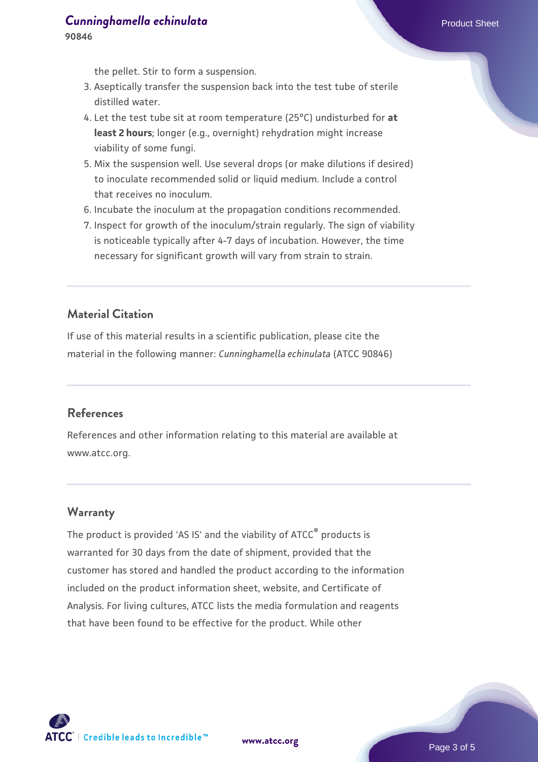**90846**

the pellet. Stir to form a suspension.

- 3. Aseptically transfer the suspension back into the test tube of sterile distilled water.
- Let the test tube sit at room temperature (25°C) undisturbed for **at** 4. **least 2 hours**; longer (e.g., overnight) rehydration might increase viability of some fungi.
- 5. Mix the suspension well. Use several drops (or make dilutions if desired) to inoculate recommended solid or liquid medium. Include a control that receives no inoculum.
- 6. Incubate the inoculum at the propagation conditions recommended.
- 7. Inspect for growth of the inoculum/strain regularly. The sign of viability is noticeable typically after 4-7 days of incubation. However, the time necessary for significant growth will vary from strain to strain.

# **Material Citation**

If use of this material results in a scientific publication, please cite the material in the following manner: *Cunninghamella echinulata* (ATCC 90846)

## **References**

References and other information relating to this material are available at www.atcc.org.

#### **Warranty**

The product is provided 'AS IS' and the viability of ATCC<sup>®</sup> products is warranted for 30 days from the date of shipment, provided that the customer has stored and handled the product according to the information included on the product information sheet, website, and Certificate of Analysis. For living cultures, ATCC lists the media formulation and reagents that have been found to be effective for the product. While other

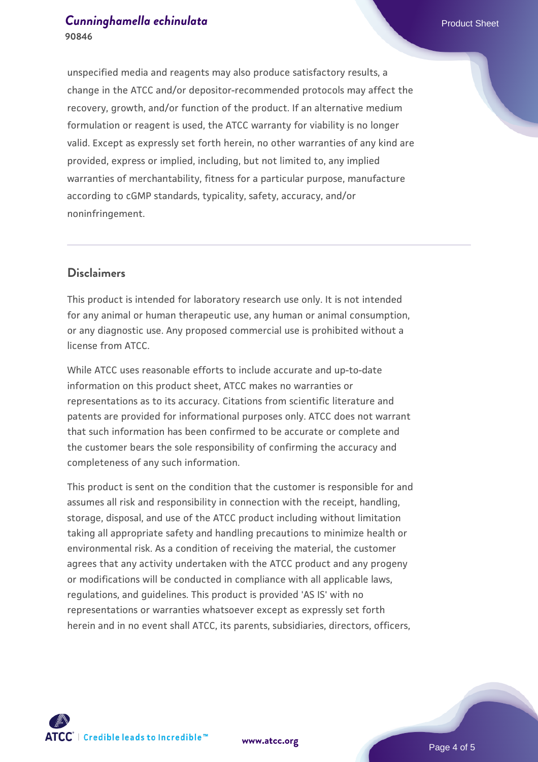# **[Cunninghamella echinulata](https://www.atcc.org/products/90846)** Product Sheet **90846**

unspecified media and reagents may also produce satisfactory results, a change in the ATCC and/or depositor-recommended protocols may affect the recovery, growth, and/or function of the product. If an alternative medium formulation or reagent is used, the ATCC warranty for viability is no longer valid. Except as expressly set forth herein, no other warranties of any kind are provided, express or implied, including, but not limited to, any implied warranties of merchantability, fitness for a particular purpose, manufacture according to cGMP standards, typicality, safety, accuracy, and/or noninfringement.

# **Disclaimers**

This product is intended for laboratory research use only. It is not intended for any animal or human therapeutic use, any human or animal consumption, or any diagnostic use. Any proposed commercial use is prohibited without a license from ATCC.

While ATCC uses reasonable efforts to include accurate and up-to-date information on this product sheet, ATCC makes no warranties or representations as to its accuracy. Citations from scientific literature and patents are provided for informational purposes only. ATCC does not warrant that such information has been confirmed to be accurate or complete and the customer bears the sole responsibility of confirming the accuracy and completeness of any such information.

This product is sent on the condition that the customer is responsible for and assumes all risk and responsibility in connection with the receipt, handling, storage, disposal, and use of the ATCC product including without limitation taking all appropriate safety and handling precautions to minimize health or environmental risk. As a condition of receiving the material, the customer agrees that any activity undertaken with the ATCC product and any progeny or modifications will be conducted in compliance with all applicable laws, regulations, and guidelines. This product is provided 'AS IS' with no representations or warranties whatsoever except as expressly set forth herein and in no event shall ATCC, its parents, subsidiaries, directors, officers,